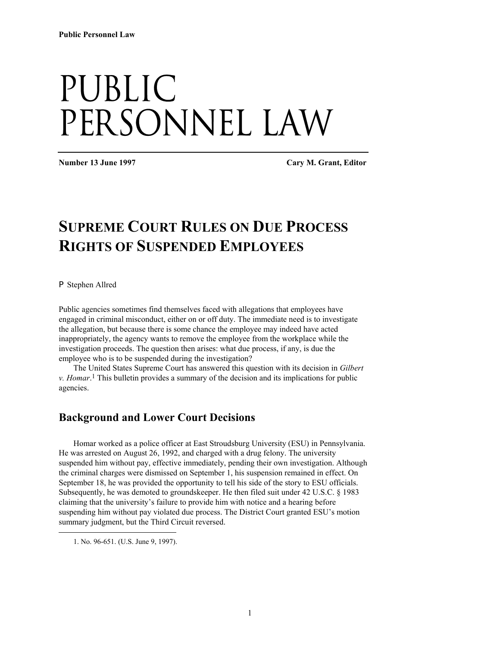# Public PERSONNEL LAW

**Number 13 June 1997 Cary M. Grant, Editor** 

# **SUPREME COURT RULES ON DUE PROCESS RIGHTS OF SUSPENDED EMPLOYEES**

 $\blacktriangleright$  Stephen Allred

Public agencies sometimes find themselves faced with allegations that employees have engaged in criminal misconduct, either on or off duty. The immediate need is to investigate the allegation, but because there is some chance the employee may indeed have acted inappropriately, the agency wants to remove the employee from the workplace while the investigation proceeds. The question then arises: what due process, if any, is due the employee who is to be suspended during the investigation?

The United States Supreme Court has answered this question with its decision in *Gilbert v. Homar*. 1 This bulletin provides a summary of the decision and its implications for public agencies.

### **Background and Lower Court Decisions**

Homar worked as a police officer at East Stroudsburg University (ESU) in Pennsylvania. He was arrested on August 26, 1992, and charged with a drug felony. The university suspended him without pay, effective immediately, pending their own investigation. Although the criminal charges were dismissed on September 1, his suspension remained in effect. On September 18, he was provided the opportunity to tell his side of the story to ESU officials. Subsequently, he was demoted to groundskeeper. He then filed suit under 42 U.S.C. § 1983 claiming that the university's failure to provide him with notice and a hearing before suspending him without pay violated due process. The District Court granted ESU's motion summary judgment, but the Third Circuit reversed.

 $\overline{a}$ 

<sup>1.</sup> No. 96-651. (U.S. June 9, 1997).